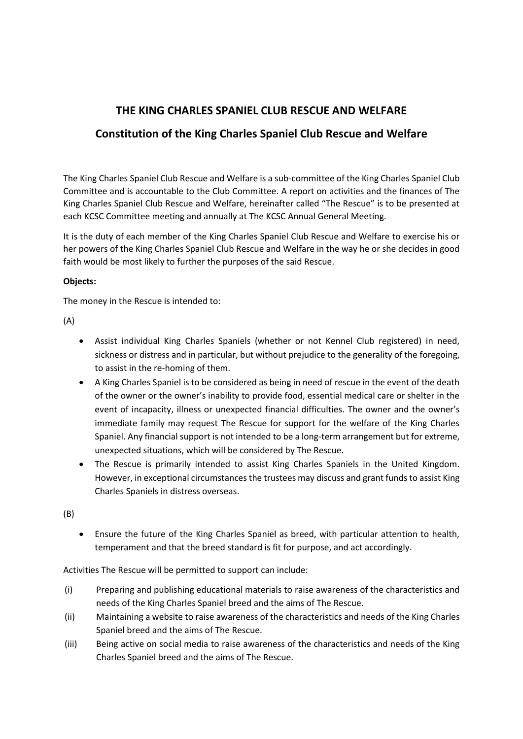# **THE KING CHARLES SPANIEL CLUB RESCUE AND WELFARE**

# **Constitution of the King Charles Spaniel Club Rescue and Welfare**

The King Charles Spaniel Club Rescue and Welfare is a sub-committee of the King Charles Spaniel Club Committee and is accountable to the Club Committee. A report on activities and the finances of The King Charles Spaniel Club Rescue and Welfare, hereinafter called "The Rescue" is to be presented at each KCSC Committee meeting and annually at The KCSC Annual General Meeting.

It is the duty of each member of the King Charles Spaniel Club Rescue and Welfare to exercise his or her powers of the King Charles Spaniel Club Rescue and Welfare in the way he or she decides in good faith would be most likely to further the purposes of the said Rescue.

## **Objects:**

The money in the Rescue is intended to:

(A)

- Assist individual King Charles Spaniels (whether or not Kennel Club registered) in need, sickness or distress and in particular, but without prejudice to the generality of the foregoing, to assist in the re-homing of them.
- A King Charles Spaniel is to be considered as being in need of rescue in the event of the death of the owner or the owner's inability to provide food, essential medical care or shelter in the event of incapacity, illness or unexpected financial difficulties. The owner and the owner's immediate family may request The Rescue for support for the welfare of the King Charles Spaniel. Any financial support is not intended to be a long-term arrangement but for extreme, unexpected situations, which will be considered by The Rescue.
- The Rescue is primarily intended to assist King Charles Spaniels in the United Kingdom. However, in exceptional circumstances the trustees may discuss and grant funds to assist King Charles Spaniels in distress overseas.

(B)

• Ensure the future of the King Charles Spaniel as breed, with particular attention to health, temperament and that the breed standard is fit for purpose, and act accordingly.

Activities The Rescue will be permitted to support can include:

- (i) Preparing and publishing educational materials to raise awareness of the characteristics and needs of the King Charles Spaniel breed and the aims of The Rescue.
- (ii) Maintaining a website to raise awareness of the characteristics and needs of the King Charles Spaniel breed and the aims of The Rescue.
- (iii) Being active on social media to raise awareness of the characteristics and needs of the King Charles Spaniel breed and the aims of The Rescue.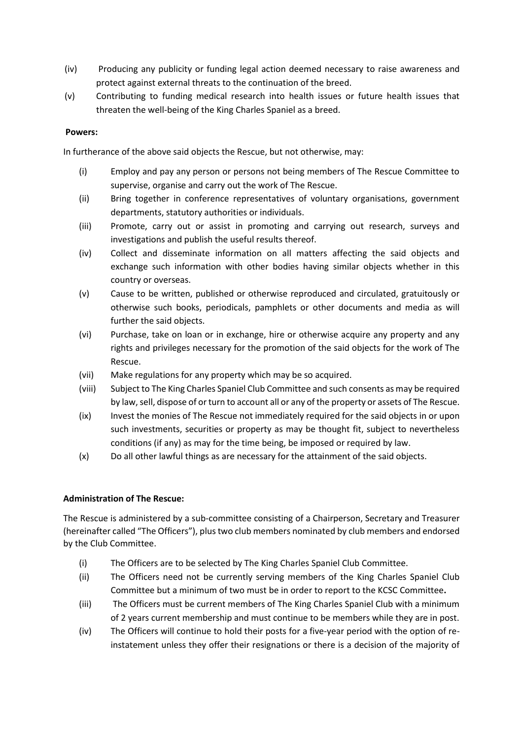- (iv) Producing any publicity or funding legal action deemed necessary to raise awareness and protect against external threats to the continuation of the breed.
- (v) Contributing to funding medical research into health issues or future health issues that threaten the well-being of the King Charles Spaniel as a breed.

## **Powers:**

In furtherance of the above said objects the Rescue, but not otherwise, may:

- (i) Employ and pay any person or persons not being members of The Rescue Committee to supervise, organise and carry out the work of The Rescue.
- (ii) Bring together in conference representatives of voluntary organisations, government departments, statutory authorities or individuals.
- (iii) Promote, carry out or assist in promoting and carrying out research, surveys and investigations and publish the useful results thereof.
- (iv) Collect and disseminate information on all matters affecting the said objects and exchange such information with other bodies having similar objects whether in this country or overseas.
- (v) Cause to be written, published or otherwise reproduced and circulated, gratuitously or otherwise such books, periodicals, pamphlets or other documents and media as will further the said objects.
- (vi) Purchase, take on loan or in exchange, hire or otherwise acquire any property and any rights and privileges necessary for the promotion of the said objects for the work of The Rescue.
- (vii) Make regulations for any property which may be so acquired.
- (viii) Subject to The King Charles Spaniel Club Committee and such consents as may be required by law, sell, dispose of or turn to account all or any of the property or assets of The Rescue.
- (ix) Invest the monies of The Rescue not immediately required for the said objects in or upon such investments, securities or property as may be thought fit, subject to nevertheless conditions (if any) as may for the time being, be imposed or required by law.
- (x) Do all other lawful things as are necessary for the attainment of the said objects.

#### **Administration of The Rescue:**

The Rescue is administered by a sub-committee consisting of a Chairperson, Secretary and Treasurer (hereinafter called "The Officers"), plus two club members nominated by club members and endorsed by the Club Committee.

- (i) The Officers are to be selected by The King Charles Spaniel Club Committee.
- (ii) The Officers need not be currently serving members of the King Charles Spaniel Club Committee but a minimum of two must be in order to report to the KCSC Committee**.**
- (iii) The Officers must be current members of The King Charles Spaniel Club with a minimum of 2 years current membership and must continue to be members while they are in post.
- (iv) The Officers will continue to hold their posts for a five-year period with the option of reinstatement unless they offer their resignations or there is a decision of the majority of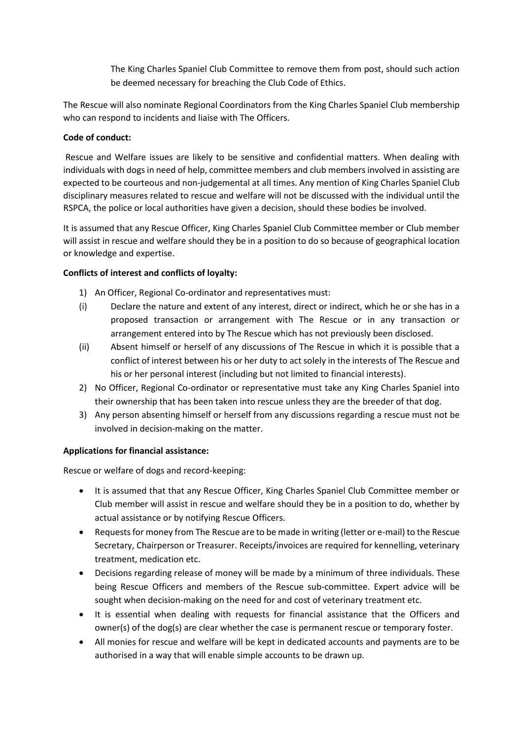The King Charles Spaniel Club Committee to remove them from post, should such action be deemed necessary for breaching the Club Code of Ethics.

The Rescue will also nominate Regional Coordinators from the King Charles Spaniel Club membership who can respond to incidents and liaise with The Officers.

# **Code of conduct:**

Rescue and Welfare issues are likely to be sensitive and confidential matters. When dealing with individuals with dogs in need of help, committee members and club members involved in assisting are expected to be courteous and non-judgemental at all times. Any mention of King Charles Spaniel Club disciplinary measures related to rescue and welfare will not be discussed with the individual until the RSPCA, the police or local authorities have given a decision, should these bodies be involved.

It is assumed that any Rescue Officer, King Charles Spaniel Club Committee member or Club member will assist in rescue and welfare should they be in a position to do so because of geographical location or knowledge and expertise.

# **Conflicts of interest and conflicts of loyalty:**

- 1) An Officer, Regional Co-ordinator and representatives must:
- (i) Declare the nature and extent of any interest, direct or indirect, which he or she has in a proposed transaction or arrangement with The Rescue or in any transaction or arrangement entered into by The Rescue which has not previously been disclosed.
- (ii) Absent himself or herself of any discussions of The Rescue in which it is possible that a conflict of interest between his or her duty to act solely in the interests of The Rescue and his or her personal interest (including but not limited to financial interests).
- 2) No Officer, Regional Co-ordinator or representative must take any King Charles Spaniel into their ownership that has been taken into rescue unless they are the breeder of that dog.
- 3) Any person absenting himself or herself from any discussions regarding a rescue must not be involved in decision-making on the matter.

# **Applications for financial assistance:**

Rescue or welfare of dogs and record-keeping:

- It is assumed that that any Rescue Officer, King Charles Spaniel Club Committee member or Club member will assist in rescue and welfare should they be in a position to do, whether by actual assistance or by notifying Rescue Officers.
- Requests for money from The Rescue are to be made in writing (letter or e-mail) to the Rescue Secretary, Chairperson or Treasurer. Receipts/invoices are required for kennelling, veterinary treatment, medication etc.
- Decisions regarding release of money will be made by a minimum of three individuals. These being Rescue Officers and members of the Rescue sub-committee. Expert advice will be sought when decision-making on the need for and cost of veterinary treatment etc.
- It is essential when dealing with requests for financial assistance that the Officers and owner(s) of the dog(s) are clear whether the case is permanent rescue or temporary foster.
- All monies for rescue and welfare will be kept in dedicated accounts and payments are to be authorised in a way that will enable simple accounts to be drawn up.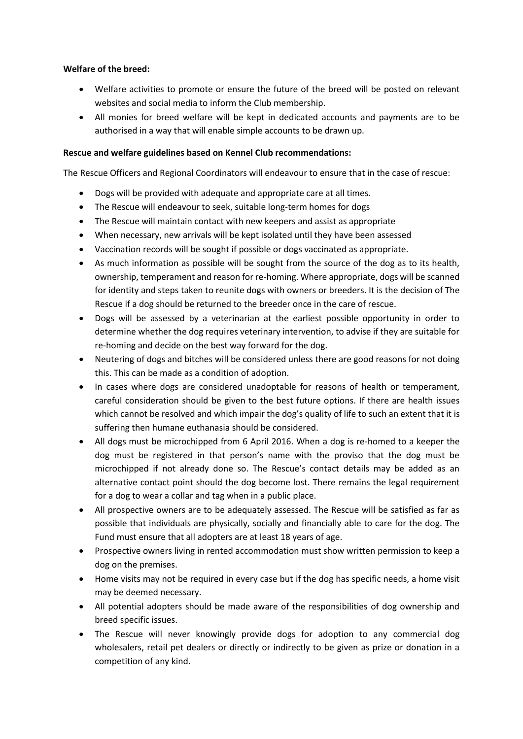## **Welfare of the breed:**

- Welfare activities to promote or ensure the future of the breed will be posted on relevant websites and social media to inform the Club membership.
- All monies for breed welfare will be kept in dedicated accounts and payments are to be authorised in a way that will enable simple accounts to be drawn up.

## **Rescue and welfare guidelines based on Kennel Club recommendations:**

The Rescue Officers and Regional Coordinators will endeavour to ensure that in the case of rescue:

- Dogs will be provided with adequate and appropriate care at all times.
- The Rescue will endeavour to seek, suitable long-term homes for dogs
- The Rescue will maintain contact with new keepers and assist as appropriate
- When necessary, new arrivals will be kept isolated until they have been assessed
- Vaccination records will be sought if possible or dogs vaccinated as appropriate.
- As much information as possible will be sought from the source of the dog as to its health, ownership, temperament and reason for re-homing. Where appropriate, dogs will be scanned for identity and steps taken to reunite dogs with owners or breeders. It is the decision of The Rescue if a dog should be returned to the breeder once in the care of rescue.
- Dogs will be assessed by a veterinarian at the earliest possible opportunity in order to determine whether the dog requires veterinary intervention, to advise if they are suitable for re-homing and decide on the best way forward for the dog.
- Neutering of dogs and bitches will be considered unless there are good reasons for not doing this. This can be made as a condition of adoption.
- In cases where dogs are considered unadoptable for reasons of health or temperament, careful consideration should be given to the best future options. If there are health issues which cannot be resolved and which impair the dog's quality of life to such an extent that it is suffering then humane euthanasia should be considered.
- All dogs must be microchipped from 6 April 2016. When a dog is re-homed to a keeper the dog must be registered in that person's name with the proviso that the dog must be microchipped if not already done so. The Rescue's contact details may be added as an alternative contact point should the dog become lost. There remains the legal requirement for a dog to wear a collar and tag when in a public place.
- All prospective owners are to be adequately assessed. The Rescue will be satisfied as far as possible that individuals are physically, socially and financially able to care for the dog. The Fund must ensure that all adopters are at least 18 years of age.
- Prospective owners living in rented accommodation must show written permission to keep a dog on the premises.
- Home visits may not be required in every case but if the dog has specific needs, a home visit may be deemed necessary.
- All potential adopters should be made aware of the responsibilities of dog ownership and breed specific issues.
- The Rescue will never knowingly provide dogs for adoption to any commercial dog wholesalers, retail pet dealers or directly or indirectly to be given as prize or donation in a competition of any kind.